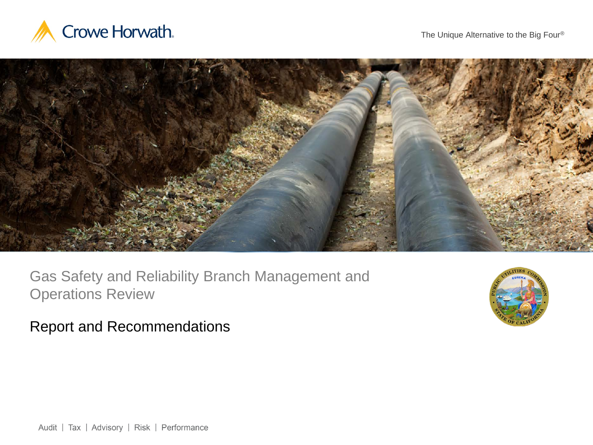



Gas Safety and Reliability Branch Management and Operations Review



Report and Recommendations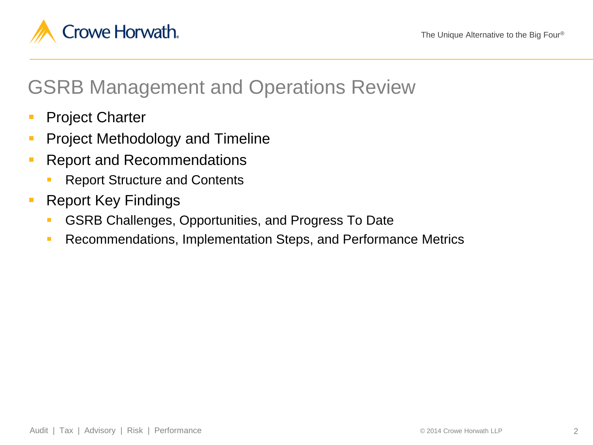

# GSRB Management and Operations Review

- **Project Charter**
- **Project Methodology and Timeline**
- **Report and Recommendations** 
	- Report Structure and Contents
- **Report Key Findings** 
	- GSRB Challenges, Opportunities, and Progress To Date
	- **Recommendations, Implementation Steps, and Performance Metrics**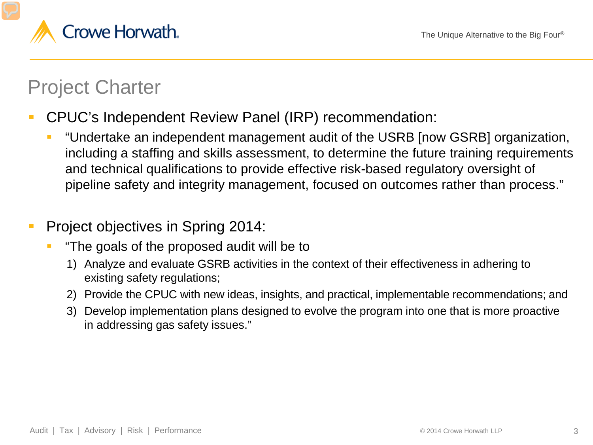

# Project Charter

- CPUC's Independent Review Panel (IRP) recommendation:
	- "Undertake an independent management audit of the USRB [now GSRB] organization, including a staffing and skills assessment, to determine the future training requirements and technical qualifications to provide effective risk-based regulatory oversight of pipeline safety and integrity management, focused on outcomes rather than process."
- **Project objectives in Spring 2014:** 
	- "The goals of the proposed audit will be to
		- 1) Analyze and evaluate GSRB activities in the context of their effectiveness in adhering to existing safety regulations;
		- 2) Provide the CPUC with new ideas, insights, and practical, implementable recommendations; and
		- 3) Develop implementation plans designed to evolve the program into one that is more proactive in addressing gas safety issues."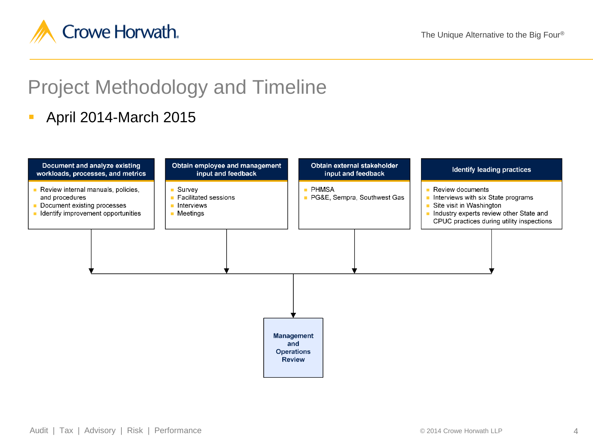

# Project Methodology and Timeline

#### April 2014-March 2015

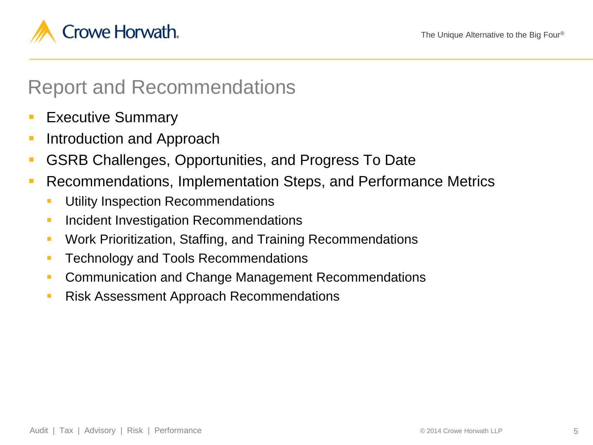

### Report and Recommendations

- Executive Summary
- **Introduction and Approach**
- GSRB Challenges, Opportunities, and Progress To Date
- Recommendations, Implementation Steps, and Performance Metrics
	- **Utility Inspection Recommendations**
	- **Incident Investigation Recommendations**
	- Work Prioritization, Staffing, and Training Recommendations
	- **Technology and Tools Recommendations**
	- **Communication and Change Management Recommendations**
	- **Risk Assessment Approach Recommendations**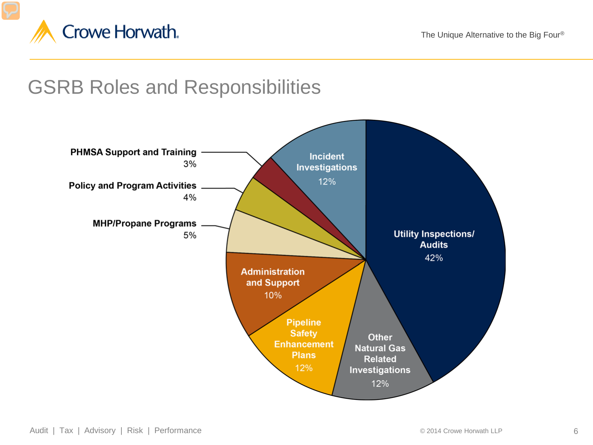

# GSRB Roles and Responsibilities

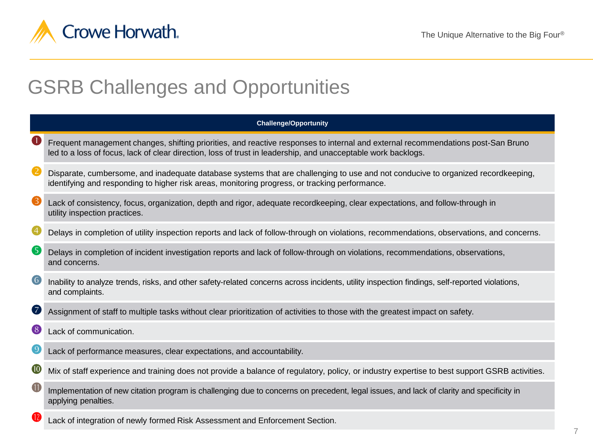

# GSRB Challenges and Opportunities

| <b>Challenge/Opportunity</b> |                                                                                                                                                                                                                                                   |  |  |  |
|------------------------------|---------------------------------------------------------------------------------------------------------------------------------------------------------------------------------------------------------------------------------------------------|--|--|--|
| $\bullet$                    | Frequent management changes, shifting priorities, and reactive responses to internal and external recommendations post-San Bruno<br>led to a loss of focus, lack of clear direction, loss of trust in leadership, and unacceptable work backlogs. |  |  |  |
| 2                            | Disparate, cumbersome, and inadequate database systems that are challenging to use and not conducive to organized recordkeeping,<br>identifying and responding to higher risk areas, monitoring progress, or tracking performance.                |  |  |  |
| ❸                            | Lack of consistency, focus, organization, depth and rigor, adequate recordkeeping, clear expectations, and follow-through in<br>utility inspection practices.                                                                                     |  |  |  |
| $\bigcirc$                   | Delays in completion of utility inspection reports and lack of follow-through on violations, recommendations, observations, and concerns.                                                                                                         |  |  |  |
| 6                            | Delays in completion of incident investigation reports and lack of follow-through on violations, recommendations, observations,<br>and concerns.                                                                                                  |  |  |  |
| $\left( 6\right)$            | Inability to analyze trends, risks, and other safety-related concerns across incidents, utility inspection findings, self-reported violations,<br>and complaints.                                                                                 |  |  |  |
| 0                            | Assignment of staff to multiple tasks without clear prioritization of activities to those with the greatest impact on safety.                                                                                                                     |  |  |  |
| $\bullet$                    | Lack of communication.                                                                                                                                                                                                                            |  |  |  |
| $\boldsymbol{\Theta}$        | Lack of performance measures, clear expectations, and accountability.                                                                                                                                                                             |  |  |  |
| $\boldsymbol{\mathbf{0}}$    | Mix of staff experience and training does not provide a balance of regulatory, policy, or industry expertise to best support GSRB activities.                                                                                                     |  |  |  |
| $\blacksquare$               | Implementation of new citation program is challenging due to concerns on precedent, legal issues, and lack of clarity and specificity in<br>applying penalties.                                                                                   |  |  |  |

Lack of integration of newly formed Risk Assessment and Enforcement Section.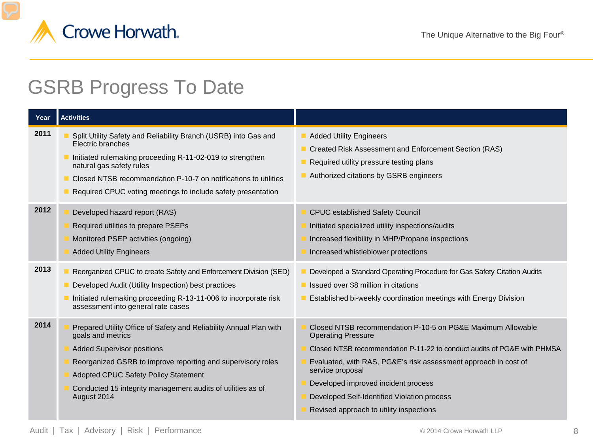

## GSRB Progress To Date

| Year | <b>Activities</b>                                                                                                                                                                                                                                                                                                        |                                                                                                                                                                                                                                                                                                                                                                                             |
|------|--------------------------------------------------------------------------------------------------------------------------------------------------------------------------------------------------------------------------------------------------------------------------------------------------------------------------|---------------------------------------------------------------------------------------------------------------------------------------------------------------------------------------------------------------------------------------------------------------------------------------------------------------------------------------------------------------------------------------------|
| 2011 | Split Utility Safety and Reliability Branch (USRB) into Gas and<br>Electric branches<br>Initiated rulemaking proceeding R-11-02-019 to strengthen<br>natural gas safety rules<br>Closed NTSB recommendation P-10-7 on notifications to utilities<br>Required CPUC voting meetings to include safety presentation         | <b>Added Utility Engineers</b><br>Created Risk Assessment and Enforcement Section (RAS)<br>Required utility pressure testing plans<br>Authorized citations by GSRB engineers                                                                                                                                                                                                                |
| 2012 | Developed hazard report (RAS)<br>Required utilities to prepare PSEPs<br>Monitored PSEP activities (ongoing)<br><b>Added Utility Engineers</b>                                                                                                                                                                            | <b>CPUC established Safety Council</b><br>Initiated specialized utility inspections/audits<br>Increased flexibility in MHP/Propane inspections<br>Increased whistleblower protections                                                                                                                                                                                                       |
| 2013 | Reorganized CPUC to create Safety and Enforcement Division (SED)<br>Developed Audit (Utility Inspection) best practices<br>Initiated rulemaking proceeding R-13-11-006 to incorporate risk<br>assessment into general rate cases                                                                                         | Developed a Standard Operating Procedure for Gas Safety Citation Audits<br>Issued over \$8 million in citations<br>Established bi-weekly coordination meetings with Energy Division                                                                                                                                                                                                         |
| 2014 | Prepared Utility Office of Safety and Reliability Annual Plan with<br>goals and metrics<br><b>Added Supervisor positions</b><br>Reorganized GSRB to improve reporting and supervisory roles<br><b>Adopted CPUC Safety Policy Statement</b><br>Conducted 15 integrity management audits of utilities as of<br>August 2014 | Closed NTSB recommendation P-10-5 on PG&E Maximum Allowable<br><b>Operating Pressure</b><br>Closed NTSB recommendation P-11-22 to conduct audits of PG&E with PHMSA<br>Evaluated, with RAS, PG&E's risk assessment approach in cost of<br>service proposal<br>Developed improved incident process<br>Developed Self-Identified Violation process<br>Revised approach to utility inspections |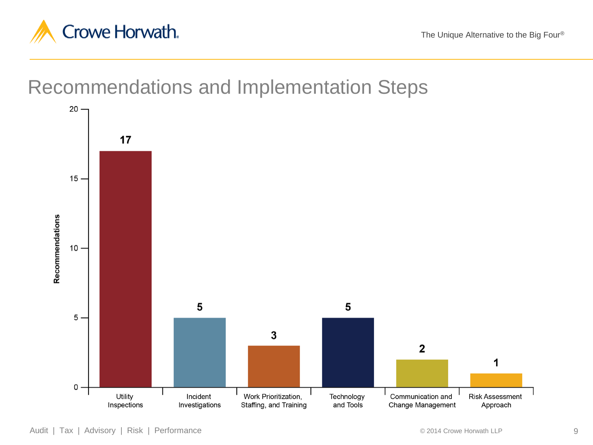

The Unique Alternative to the Big Four®

Recommendations and Implementation Steps

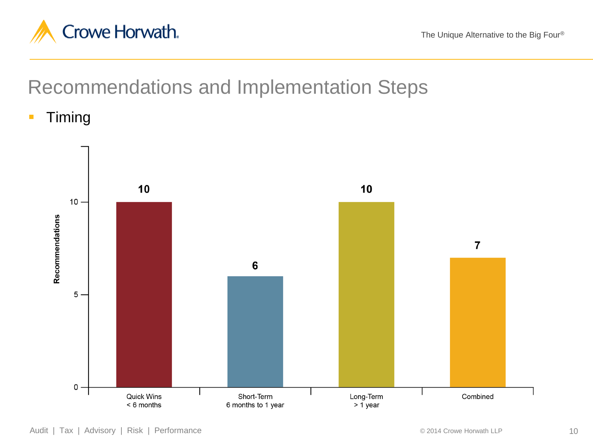

Recommendations and Implementation Steps

**Timing** 

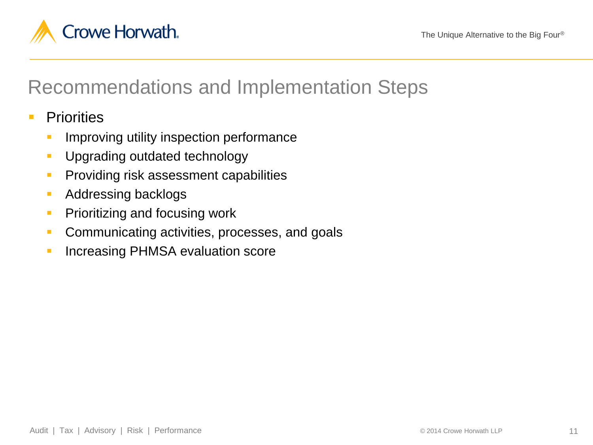

# Recommendations and Implementation Steps

#### **Priorities**

- Improving utility inspection performance
- **Upgrading outdated technology**
- **Providing risk assessment capabilities**
- **Addressing backlogs**
- **Prioritizing and focusing work**
- **Communicating activities, processes, and goals**
- **Increasing PHMSA evaluation score**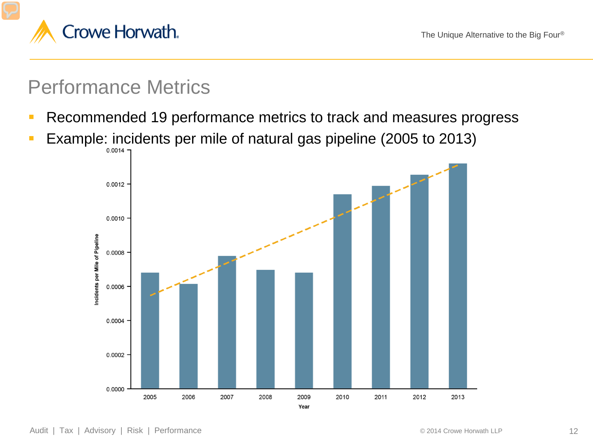

### Performance Metrics

- **Recommended 19 performance metrics to track and measures progress**
- Example: incidents per mile of natural gas pipeline (2005 to 2013)